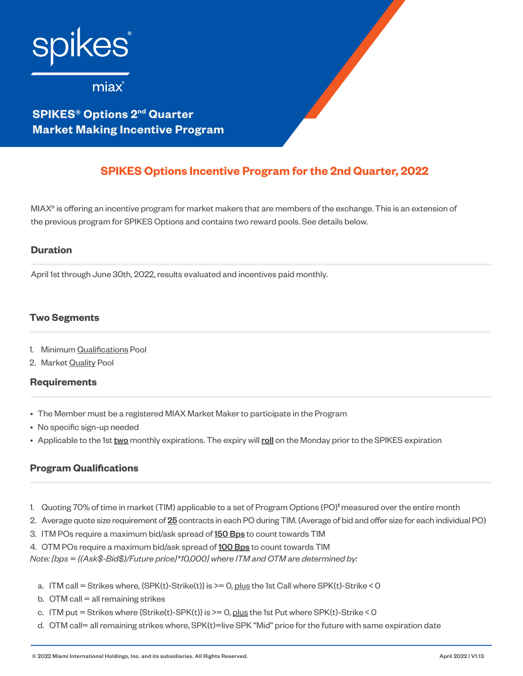

**SPIKES® Options 2nd Quarter Market Making Incentive Program**

# **SPIKES Options Incentive Program for the 2nd Quarter, 2022**

MIAX® is offering an incentive program for market makers that are members of the exchange. This is an extension of the previous program for SPIKES Options and contains two reward pools. See details below.

## **Duration**

April 1st through June 30th, 2022, results evaluated and incentives paid monthly.

## **Two Segments**

- 1. Minimum Qualifications Pool
- 2. Market Quality Pool

## **Requirements**

- The Member must be a registered MIAX Market Maker to participate in the Program
- No specific sign-up needed
- Applicable to the 1st two monthly expirations. The expiry will roll on the Monday prior to the SPIKES expiration

## **Program Qualifications**

- 1. Quoting 70% of time in market (TIM) applicable to a set of Program Options (PO)**<sup>1</sup>** measured over the entire month
- 2. Average quote size requirement of 25 contracts in each PO during TIM. (Average of bid and offer size for each individual PO)
- 3. ITM POs require a maximum bid/ask spread of 150 Bps to count towards TIM
- 4. OTM POs require a maximum bid/ask spread of 100 Bps to count towards TIM

*Note: [bps = {(Ask\$-Bid\$)/Future price}\*10,000] where ITM and OTM are determined by:*

- a. ITM call = Strikes where, {SPK(t)-Strike(t)} is >= 0, plus the 1st Call where SPK(t)-Strike < 0
- b. OTM call  $=$  all remaining strikes
- c. ITM put = Strikes where {Strike(t)-SPK(t)} is >= 0, plus the 1st Put where SPK(t)-Strike < 0
- d. OTM call= all remaining strikes where, SPK(t)=live SPK "Mid" price for the future with same expiration date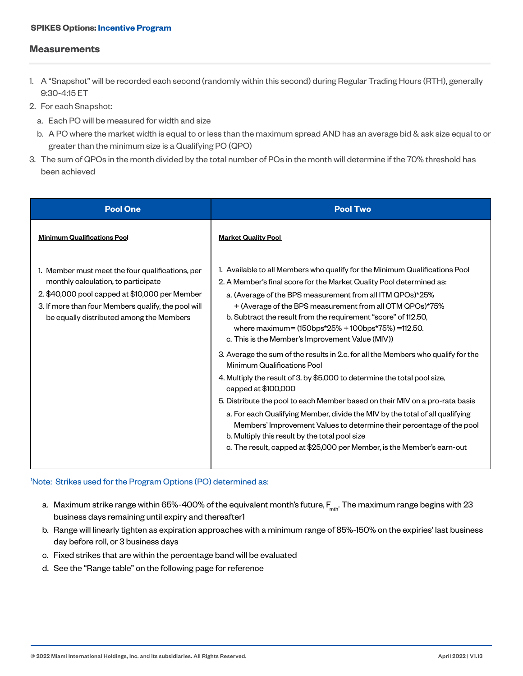#### **SPIKES Options: Incentive Program**

#### **Measurements**

- 1. A "Snapshot" will be recorded each second (randomly within this second) during Regular Trading Hours (RTH), generally 9:30-4:15 ET
- 2. For each Snapshot:
	- a. Each PO will be measured for width and size
	- b. A PO where the market width is equal to or less than the maximum spread AND has an average bid & ask size equal to or greater than the minimum size is a Qualifying PO (QPO)
- 3. The sum of QPOs in the month divided by the total number of POs in the month will determine if the 70% threshold has been achieved

| <b>Pool One</b>                                                                                                                                                                                                                              | <b>Pool Two</b>                                                                                                                                                                                                                                                                                                                                                                                                                                                                                                                                                                            |
|----------------------------------------------------------------------------------------------------------------------------------------------------------------------------------------------------------------------------------------------|--------------------------------------------------------------------------------------------------------------------------------------------------------------------------------------------------------------------------------------------------------------------------------------------------------------------------------------------------------------------------------------------------------------------------------------------------------------------------------------------------------------------------------------------------------------------------------------------|
| <b>Minimum Qualifications Pool</b>                                                                                                                                                                                                           | <b>Market Quality Pool</b>                                                                                                                                                                                                                                                                                                                                                                                                                                                                                                                                                                 |
| 1. Member must meet the four qualifications, per<br>monthly calculation, to participate<br>2. \$40,000 pool capped at \$10,000 per Member<br>3. If more than four Members qualify, the pool will<br>be equally distributed among the Members | 1. Available to all Members who qualify for the Minimum Qualifications Pool<br>2. A Member's final score for the Market Quality Pool determined as:<br>a. (Average of the BPS measurement from all ITM QPOs)*25%<br>+ (Average of the BPS measurement from all OTM QPOs)*75%<br>b. Subtract the result from the requirement "score" of 112.50,<br>where maximum= $(150 \text{bps*}25\% + 100 \text{bps*}75\%) = 112.50$ .<br>c. This is the Member's Improvement Value (MIV))                                                                                                              |
|                                                                                                                                                                                                                                              | 3. Average the sum of the results in 2.c. for all the Members who qualify for the<br>Minimum Qualifications Pool<br>4. Multiply the result of 3. by \$5,000 to determine the total pool size,<br>capped at $$100,000$<br>5. Distribute the pool to each Member based on their MIV on a pro-rata basis<br>a. For each Qualifying Member, divide the MIV by the total of all qualifying<br>Members' Improvement Values to determine their percentage of the pool<br>b. Multiply this result by the total pool size<br>c. The result, capped at \$25,000 per Member, is the Member's earn-out |

#### 1 Note: Strikes used for the Program Options (PO) determined as:

- a. Maximum strike range within 65%-400% of the equivalent month's future,  $F_{\text{mt}}$ . The maximum range begins with 23 business days remaining until expiry and thereafter1
- b. Range will linearly tighten as expiration approaches with a minimum range of 85%-150% on the expiries' last business day before roll, or 3 business days
- c. Fixed strikes that are within the percentage band will be evaluated
- d. See the "Range table" on the following page for reference